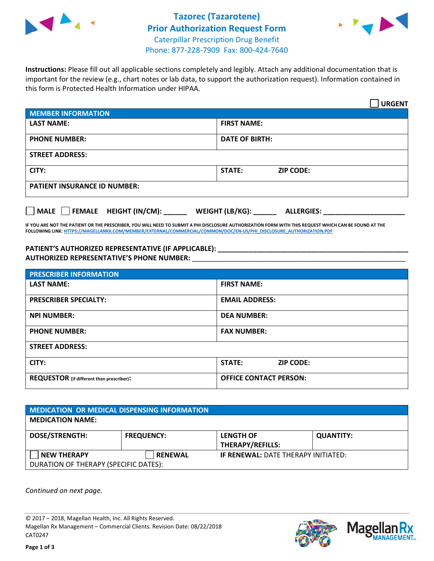



**Instructions:** Please fill out all applicable sections completely and legibly. Attach any additional documentation that is important for the review (e.g., chart notes or lab data, to support the authorization request). Information contained in this form is Protected Health Information under HIPAA.

|                                            | <b>URGENT</b>                        |  |  |
|--------------------------------------------|--------------------------------------|--|--|
| <b>MEMBER INFORMATION</b>                  |                                      |  |  |
| <b>LAST NAME:</b>                          | <b>FIRST NAME:</b>                   |  |  |
| <b>PHONE NUMBER:</b>                       | <b>DATE OF BIRTH:</b>                |  |  |
| <b>STREET ADDRESS:</b>                     |                                      |  |  |
| CITY:                                      | STATE:<br><b>ZIP CODE:</b>           |  |  |
| <b>PATIENT INSURANCE ID NUMBER:</b>        |                                      |  |  |
| FEMALE HEIGHT (IN/CM):<br>$ $ MALE $ $ $ $ | WEIGHT (LB/KG):<br><b>ALLERGIES:</b> |  |  |

**IF YOU ARE NOT THE PATIENT OR THE PRESCRIBER, YOU WILL NEED TO SUBMIT A PHI DISCLOSURE AUTHORIZATION FORM WITH THIS REQUEST WHICH CAN BE FOUND AT THE FOLLOWING LINK[: HTTPS://MAGELLANRX.COM/MEMBER/EXTERNAL/COMMERCIAL/COMMON/DOC/EN-US/PHI\\_DISCLOSURE\\_AUTHORIZATION.PDF](https://magellanrx.com/member/external/commercial/common/doc/en-us/PHI_Disclosure_Authorization.pdf)**

**PATIENT'S AUTHORIZED REPRESENTATIVE (IF APPLICABLE): \_\_\_\_\_\_\_\_\_\_\_\_\_\_\_\_\_\_\_\_\_\_\_\_\_\_\_\_\_\_\_\_\_\_\_\_\_\_\_\_\_\_\_\_\_\_\_\_\_ AUTHORIZED REPRESENTATIVE'S PHONE NUMBER:** \_\_\_\_\_\_\_\_\_\_\_\_\_\_\_\_\_\_\_\_\_\_\_\_\_\_\_\_\_\_\_\_\_\_\_\_\_\_\_\_\_\_\_\_\_\_\_\_\_\_\_\_\_\_\_

| <b>PRESCRIBER INFORMATION</b>             |                                   |  |  |  |
|-------------------------------------------|-----------------------------------|--|--|--|
| <b>LAST NAME:</b>                         | <b>FIRST NAME:</b>                |  |  |  |
| <b>PRESCRIBER SPECIALTY:</b>              | <b>EMAIL ADDRESS:</b>             |  |  |  |
| <b>NPI NUMBER:</b>                        | <b>DEA NUMBER:</b>                |  |  |  |
| <b>PHONE NUMBER:</b>                      | <b>FAX NUMBER:</b>                |  |  |  |
| <b>STREET ADDRESS:</b>                    |                                   |  |  |  |
| CITY:                                     | <b>STATE:</b><br><b>ZIP CODE:</b> |  |  |  |
| REQUESTOR (if different than prescriber): | <b>OFFICE CONTACT PERSON:</b>     |  |  |  |

| <b>MEDICATION OR MEDICAL DISPENSING INFORMATION</b> |                   |                                             |                  |  |  |
|-----------------------------------------------------|-------------------|---------------------------------------------|------------------|--|--|
| <b>MEDICATION NAME:</b>                             |                   |                                             |                  |  |  |
| <b>DOSE/STRENGTH:</b>                               | <b>FREQUENCY:</b> | <b>LENGTH OF</b><br><b>THERAPY/REFILLS:</b> | <b>QUANTITY:</b> |  |  |
| <b>NEW THERAPY</b>                                  | <b>RENEWAL</b>    | <b>IF RENEWAL: DATE THERAPY INITIATED:</b>  |                  |  |  |
| DURATION OF THERAPY (SPECIFIC DATES):               |                   |                                             |                  |  |  |

*Continued on next page.*

© 2017 – 2018, Magellan Health, Inc. All Rights Reserved. Magellan Rx Management – Commercial Clients. Revision Date: 08/22/2018 CAT0247



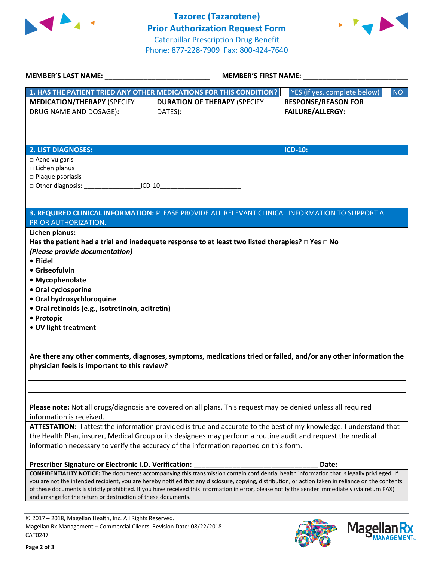



| <b>MEMBER'S LAST NAME:</b> NAME                                                                                                                     | <b>MEMBER'S FIRST NAME:</b>                                                                                                                        |                                                            |  |  |  |
|-----------------------------------------------------------------------------------------------------------------------------------------------------|----------------------------------------------------------------------------------------------------------------------------------------------------|------------------------------------------------------------|--|--|--|
|                                                                                                                                                     | 1. HAS THE PATIENT TRIED ANY OTHER MEDICATIONS FOR THIS CONDITION?                                                                                 | <b>P</b> YES (if yes, complete below) $\vert$<br><b>NO</b> |  |  |  |
| <b>MEDICATION/THERAPY (SPECIFY</b>                                                                                                                  | <b>DURATION OF THERAPY (SPECIFY</b>                                                                                                                | <b>RESPONSE/REASON FOR</b>                                 |  |  |  |
| DRUG NAME AND DOSAGE):                                                                                                                              | DATES):                                                                                                                                            | <b>FAILURE/ALLERGY:</b>                                    |  |  |  |
|                                                                                                                                                     |                                                                                                                                                    |                                                            |  |  |  |
|                                                                                                                                                     |                                                                                                                                                    |                                                            |  |  |  |
|                                                                                                                                                     |                                                                                                                                                    |                                                            |  |  |  |
| <b>2. LIST DIAGNOSES:</b>                                                                                                                           |                                                                                                                                                    | <b>ICD-10:</b>                                             |  |  |  |
| □ Acne vulgaris<br>$\square$ Lichen planus                                                                                                          |                                                                                                                                                    |                                                            |  |  |  |
| $\square$ Plaque psoriasis                                                                                                                          |                                                                                                                                                    |                                                            |  |  |  |
| □ Other diagnosis: ______________________ICD-10________________________________                                                                     |                                                                                                                                                    |                                                            |  |  |  |
|                                                                                                                                                     |                                                                                                                                                    |                                                            |  |  |  |
|                                                                                                                                                     |                                                                                                                                                    |                                                            |  |  |  |
| PRIOR AUTHORIZATION.                                                                                                                                | 3. REQUIRED CLINICAL INFORMATION: PLEASE PROVIDE ALL RELEVANT CLINICAL INFORMATION TO SUPPORT A                                                    |                                                            |  |  |  |
| Lichen planus:                                                                                                                                      |                                                                                                                                                    |                                                            |  |  |  |
|                                                                                                                                                     | Has the patient had a trial and inadequate response to at least two listed therapies? $\Box$ Yes $\Box$ No                                         |                                                            |  |  |  |
| (Please provide documentation)                                                                                                                      |                                                                                                                                                    |                                                            |  |  |  |
| • Elidel                                                                                                                                            |                                                                                                                                                    |                                                            |  |  |  |
| • Griseofulvin                                                                                                                                      |                                                                                                                                                    |                                                            |  |  |  |
| • Mycophenolate                                                                                                                                     |                                                                                                                                                    |                                                            |  |  |  |
| • Oral cyclosporine                                                                                                                                 |                                                                                                                                                    |                                                            |  |  |  |
| · Oral hydroxychloroquine                                                                                                                           |                                                                                                                                                    |                                                            |  |  |  |
| · Oral retinoids (e.g., isotretinoin, acitretin)                                                                                                    |                                                                                                                                                    |                                                            |  |  |  |
| • Protopic                                                                                                                                          |                                                                                                                                                    |                                                            |  |  |  |
| • UV light treatment                                                                                                                                |                                                                                                                                                    |                                                            |  |  |  |
|                                                                                                                                                     |                                                                                                                                                    |                                                            |  |  |  |
|                                                                                                                                                     | Are there any other comments, diagnoses, symptoms, medications tried or failed, and/or any other information the                                   |                                                            |  |  |  |
| physician feels is important to this review?                                                                                                        |                                                                                                                                                    |                                                            |  |  |  |
|                                                                                                                                                     |                                                                                                                                                    |                                                            |  |  |  |
|                                                                                                                                                     |                                                                                                                                                    |                                                            |  |  |  |
|                                                                                                                                                     |                                                                                                                                                    |                                                            |  |  |  |
|                                                                                                                                                     | Please note: Not all drugs/diagnosis are covered on all plans. This request may be denied unless all required                                      |                                                            |  |  |  |
| information is received.                                                                                                                            |                                                                                                                                                    |                                                            |  |  |  |
| ATTESTATION: I attest the information provided is true and accurate to the best of my knowledge. I understand that                                  |                                                                                                                                                    |                                                            |  |  |  |
| the Health Plan, insurer, Medical Group or its designees may perform a routine audit and request the medical                                        |                                                                                                                                                    |                                                            |  |  |  |
| information necessary to verify the accuracy of the information reported on this form.                                                              |                                                                                                                                                    |                                                            |  |  |  |
| Prescriber Signature or Electronic I.D. Verification:                                                                                               |                                                                                                                                                    | Date:                                                      |  |  |  |
|                                                                                                                                                     | <b>CONFIDENTIALITY NOTICE:</b> The documents accompanying this transmission contain confidential health information that is legally privileged. If |                                                            |  |  |  |
| you are not the intended recipient, you are hereby notified that any disclosure, copying, distribution, or action taken in reliance on the contents |                                                                                                                                                    |                                                            |  |  |  |
|                                                                                                                                                     | of these documents is strictly prohibited. If you have received this information in error, please notify the sender immediately (via return FAX)   |                                                            |  |  |  |
| and arrange for the return or destruction of these documents.                                                                                       |                                                                                                                                                    |                                                            |  |  |  |
|                                                                                                                                                     |                                                                                                                                                    |                                                            |  |  |  |

© 2017 – 2018, Magellan Health, Inc. All Rights Reserved. Magellan Rx Management – Commercial Clients. Revision Date: 08/22/2018 CAT0247



**Magella** 

**MANAGEMENT**<sub>SM</sub>